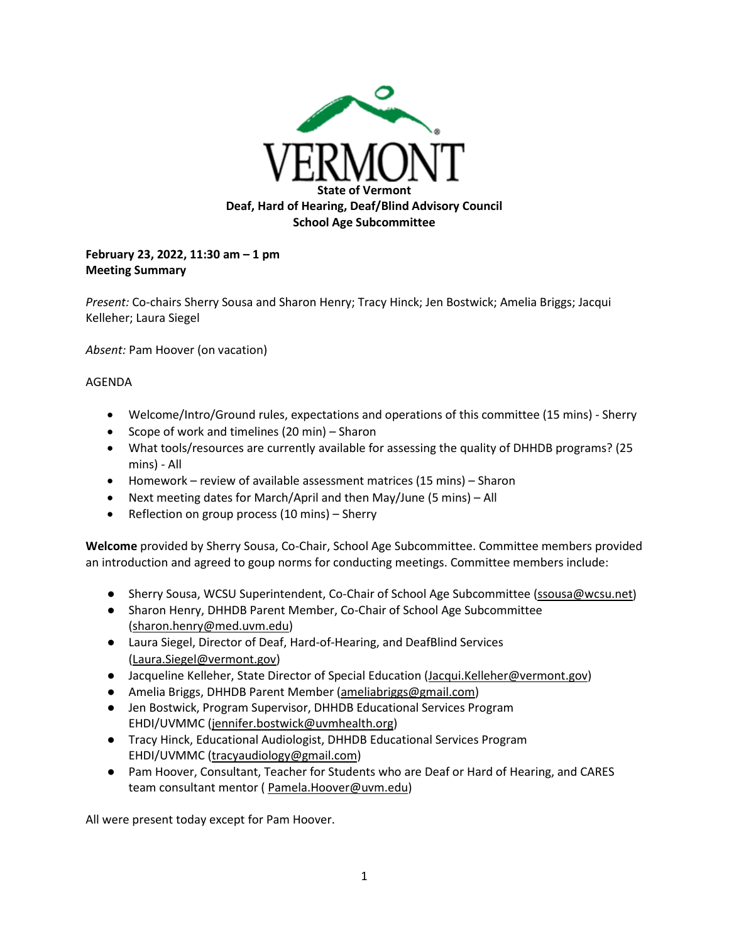

## **February 23, 2022, 11:30 am – 1 pm Meeting Summary**

*Present:* Co-chairs Sherry Sousa and Sharon Henry; Tracy Hinck; Jen Bostwick; Amelia Briggs; Jacqui Kelleher; Laura Siegel

*Absent:* Pam Hoover (on vacation)

## AGENDA

- Welcome/Intro/Ground rules, expectations and operations of this committee (15 mins) Sherry
- Scope of work and timelines (20 min) Sharon
- What tools/resources are currently available for assessing the quality of DHHDB programs? (25 mins) - All
- Homework review of available assessment matrices (15 mins) Sharon
- Next meeting dates for March/April and then May/June (5 mins) All
- Reflection on group process (10 mins) Sherry

**Welcome** provided by Sherry Sousa, Co-Chair, School Age Subcommittee. Committee members provided an introduction and agreed to goup norms for conducting meetings. Committee members include:

- Sherry Sousa, WCSU Superintendent, Co-Chair of School Age Subcommittee [\(ssousa@wcsu.net\)](mailto:ssousa@wcsu.net)
- Sharon Henry, DHHDB Parent Member, Co-Chair of School Age Subcommittee [\(sharon.henry@med.uvm.edu\)](mailto:sharon.henry@med.uvm.edu)
- Laura Siegel, Director of Deaf, Hard-of-Hearing, and DeafBlind Services [\(Laura.Siegel@vermont.gov\)](mailto:Laura.Siegel@vermont.gov)
- Jacqueline Kelleher, State Director of Special Education [\(Jacqui.Kelleher@vermont.gov\)](mailto:Jacqui.Kelleher@vermont.gov)
- Amelia Briggs, DHHDB Parent Member [\(ameliabriggs@gmail.com\)](mailto:ameliabriggs@gmail.com)
- Jen Bostwick, Program Supervisor, DHHDB Educational Services Program EHDI/UVMMC [\(jennifer.bostwick@uvmhealth.org\)](mailto:jennifer.bostwick@uvmhealth.org)
- Tracy Hinck, Educational Audiologist, DHHDB Educational Services Program EHDI/UVMMC [\(tracyaudiology@gmail.com\)](mailto:tracyaudiology@gmail.com)
- Pam Hoover, Consultant, Teacher for Students who are Deaf or Hard of Hearing, and CARES team consultant mentor ( [Pamela.Hoover@uvm.edu\)](mailto:Pamela.Hoover@uvm.edu)

All were present today except for Pam Hoover.